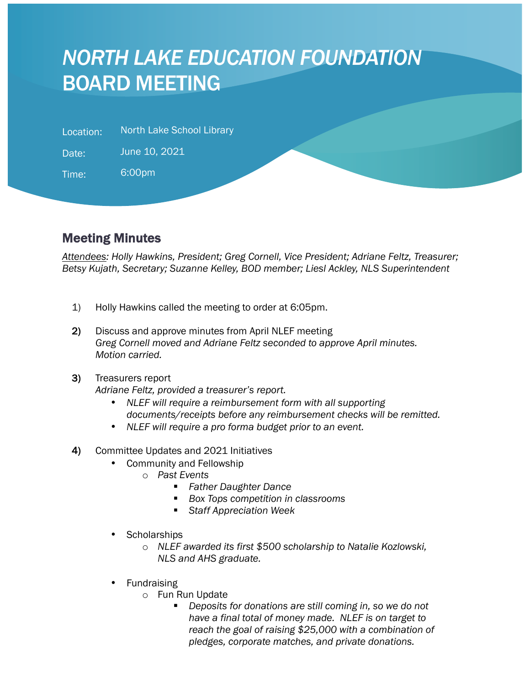## *NORTH LAKE EDUCATION FOUNDATION* BOARD MEETING

| <b>North Lake School Library</b><br>Location: |  |
|-----------------------------------------------|--|
|-----------------------------------------------|--|

Date: June 10, 2021

Time: 6:00pm

l

## Meeting Minutes

*Attendees: Holly Hawkins, President; Greg Cornell, Vice President; Adriane Feltz, Treasurer; Betsy Kujath, Secretary; Suzanne Kelley, BOD member; Liesl Ackley, NLS Superintendent*

- 1) Holly Hawkins called the meeting to order at 6:05pm.
- 2) Discuss and approve minutes from April NLEF meeting *Greg Cornell moved and Adriane Feltz seconded to approve April minutes. Motion carried.*

## 3) Treasurers report

*Adriane Feltz, provided a treasurer's report.*

- *NLEF will require a reimbursement form with all supporting documents/receipts before any reimbursement checks will be remitted.*
- *NLEF will require a pro forma budget prior to an event.*
- 4) Committee Updates and 2021 Initiatives
	- Community and Fellowship
		- o *Past Events*
			- § *Father Daughter Dance*
			- § *Box Tops competition in classrooms*
			- § *Staff Appreciation Week*
	- **Scholarships** 
		- o *NLEF awarded its first \$500 scholarship to Natalie Kozlowski, NLS and AHS graduate.*
	- **Fundraising** 
		- o Fun Run Update
			- § *Deposits for donations are still coming in, so we do not have a final total of money made. NLEF is on target to reach the goal of raising \$25,000 with a combination of pledges, corporate matches, and private donations.*